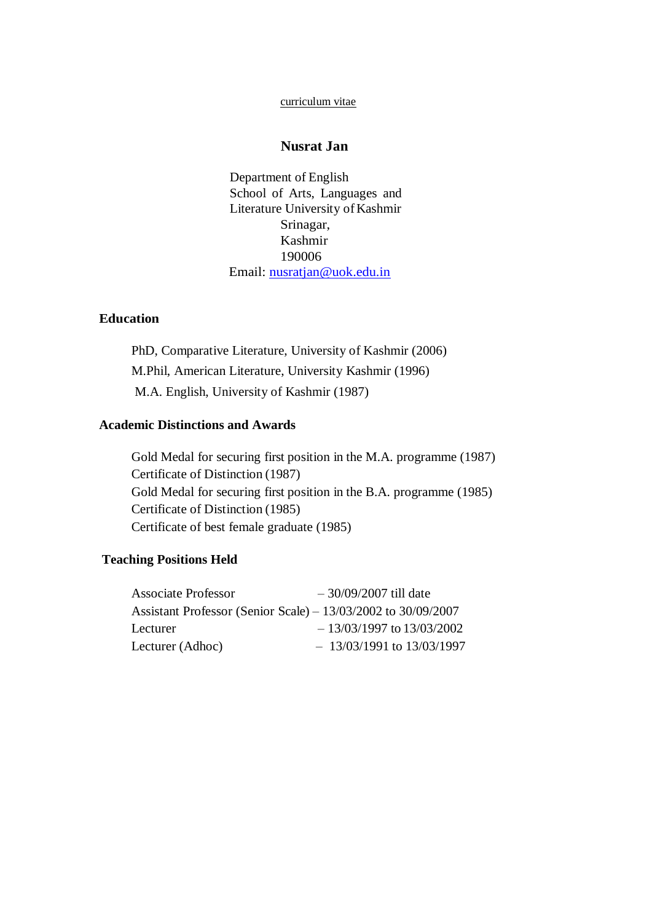#### curriculum vitae

## **Nusrat Jan**

Department of English School of Arts, Languages and Literature University of Kashmir Srinagar, Kashmir 190006 Email: [nusratjan@uok.edu.in](mailto:nusratjan@uok.edu.in)

### **Education**

PhD, Comparative Literature, University of Kashmir (2006) M.Phil, American Literature, University Kashmir (1996) M.A. English, University of Kashmir (1987)

### **Academic Distinctions and Awards**

Gold Medal for securing first position in the M.A. programme (1987) Certificate of Distinction (1987) Gold Medal for securing first position in the B.A. programme (1985) Certificate of Distinction (1985) Certificate of best female graduate (1985)

### **Teaching Positions Held**

| <b>Associate Professor</b> | $-30/09/2007$ till date                                           |
|----------------------------|-------------------------------------------------------------------|
|                            | Assistant Professor (Senior Scale) – $13/03/2002$ to $30/09/2007$ |
| Lecturer                   | $-13/03/1997$ to $13/03/2002$                                     |
| Lecturer (Adhoc)           | $-13/03/1991$ to $13/03/1997$                                     |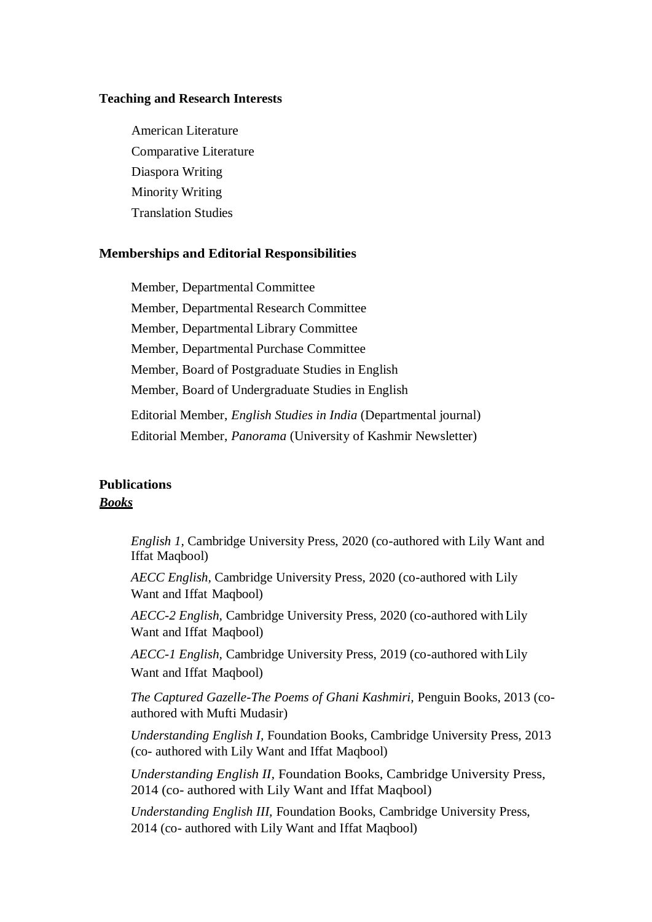#### **Teaching and Research Interests**

American Literature Comparative Literature Diaspora Writing Minority Writing Translation Studies

#### **Memberships and Editorial Responsibilities**

Member, Departmental Committee Member, Departmental Research Committee Member, Departmental Library Committee Member, Departmental Purchase Committee Member, Board of Postgraduate Studies in English Member, Board of Undergraduate Studies in English Editorial Member, *English Studies in India* (Departmental journal) Editorial Member, *Panorama* (University of Kashmir Newsletter)

## **Publications** *Books*

*English 1,* Cambridge University Press, 2020 (co-authored with Lily Want and Iffat Maqbool)

*AECC English,* Cambridge University Press, 2020 (co-authored with Lily Want and Iffat Maqbool)

*AECC-2 English,* Cambridge University Press, 2020 (co-authored withLily Want and Iffat Maqbool)

*AECC-1 English,* Cambridge University Press, 2019 (co-authored withLily Want and Iffat Maqbool)

*The Captured Gazelle-The Poems of Ghani Kashmiri,* Penguin Books, 2013 (coauthored with Mufti Mudasir)

*Understanding English I,* Foundation Books, Cambridge University Press, 2013 (co- authored with Lily Want and Iffat Maqbool)

*Understanding English II,* Foundation Books, Cambridge University Press, 2014 (co- authored with Lily Want and Iffat Maqbool)

*Understanding English III,* Foundation Books, Cambridge University Press, 2014 (co- authored with Lily Want and Iffat Maqbool)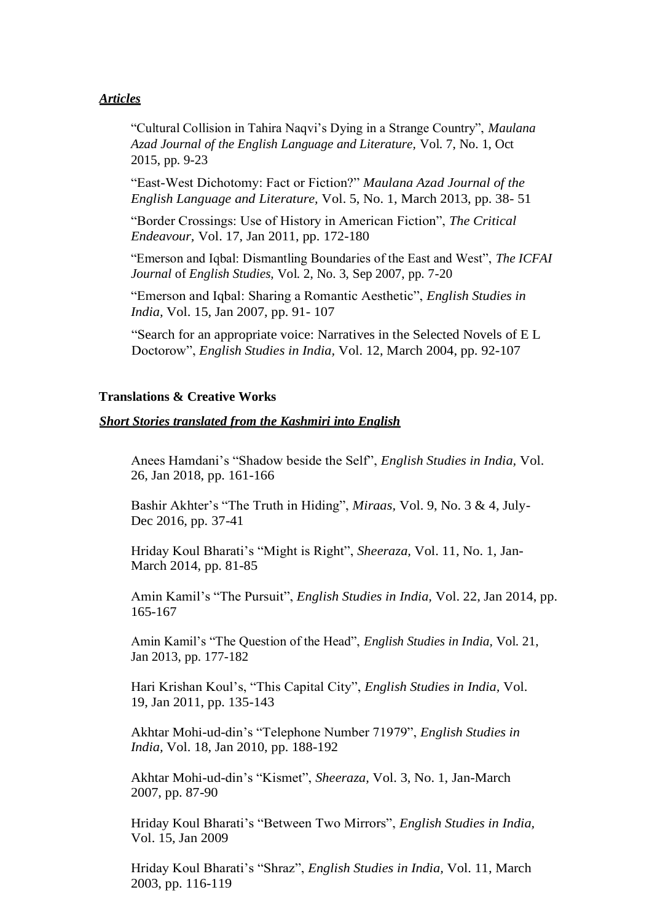### *Articles*

"Cultural Collision in Tahira Naqvi's Dying in a Strange Country", *Maulana Azad Journal of the English Language and Literature,* Vol. 7, No. 1, Oct 2015, pp. 9-23

"East-West Dichotomy: Fact or Fiction?" *Maulana Azad Journal of the English Language and Literature,* Vol. 5, No. 1, March 2013, pp. 38- 51

"Border Crossings: Use of History in American Fiction", *The Critical Endeavour,* Vol. 17, Jan 2011, pp. 172-180

"Emerson and Iqbal: Dismantling Boundaries of the East and West", *The ICFAI Journal* of *English Studies,* Vol. 2, No. 3, Sep 2007, pp. 7-20

"Emerson and Iqbal: Sharing a Romantic Aesthetic", *English Studies in India,* Vol. 15, Jan 2007, pp. 91- 107

"Search for an appropriate voice: Narratives in the Selected Novels of E L Doctorow", *English Studies in India,* Vol. 12, March 2004, pp. 92-107

#### **Translations & Creative Works**

#### *Short Stories translated from the Kashmiri into English*

Anees Hamdani's "Shadow beside the Self", *English Studies in India,* Vol. 26, Jan 2018, pp. 161-166

Bashir Akhter's "The Truth in Hiding", *Miraas,* Vol. 9, No. 3 & 4, July-Dec 2016, pp. 37-41

Hriday Koul Bharati's "Might is Right", *Sheeraza,* Vol. 11, No. 1, Jan-March 2014, pp. 81-85

Amin Kamil's "The Pursuit", *English Studies in India,* Vol. 22, Jan 2014, pp. 165-167

Amin Kamil's "The Question of the Head", *English Studies in India,* Vol. 21, Jan 2013, pp. 177-182

Hari Krishan Koul's, "This Capital City", *English Studies in India,* Vol. 19, Jan 2011, pp. 135-143

Akhtar Mohi-ud-din's "Telephone Number 71979", *English Studies in India,* Vol. 18, Jan 2010, pp. 188-192

Akhtar Mohi-ud-din's "Kismet", *Sheeraza,* Vol. 3, No. 1, Jan-March 2007, pp. 87-90

Hriday Koul Bharati's "Between Two Mirrors", *English Studies in India,* Vol. 15, Jan 2009

Hriday Koul Bharati's "Shraz", *English Studies in India,* Vol. 11, March 2003, pp. 116-119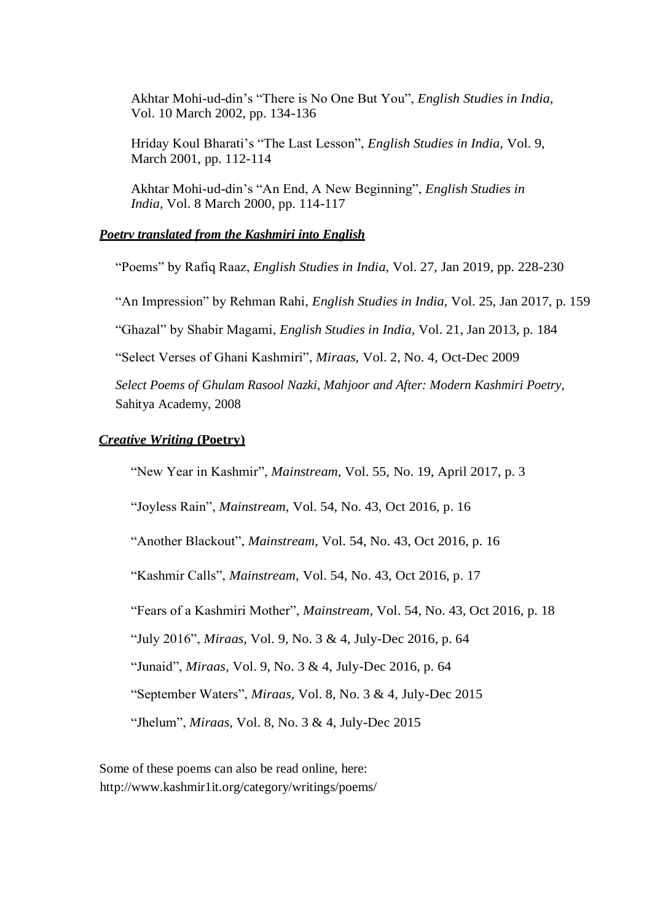Akhtar Mohi-ud-din's "There is No One But You", *English Studies in India,* Vol. 10 March 2002, pp. 134-136

Hriday Koul Bharati's "The Last Lesson", *English Studies in India,* Vol. 9, March 2001, pp. 112-114

Akhtar Mohi-ud-din's "An End, A New Beginning", *English Studies in India,* Vol. 8 March 2000, pp. 114-117

#### *Poetrv translated from the Kashmiri into English*

"Poems" by Rafiq Raaz, *English Studies in India,* Vol. 27, Jan 2019, pp. 228-230

"An Impression" by Rehman Rahi, *English Studies in India,* Vol. 25, Jan 2017, p. 159

"Ghazal" by Shabir Magami, *English Studies in India,* Vol. 21, Jan 2013, p. 184

"Select Verses of Ghani Kashmiri", *Miraas,* Vol. 2, No. 4, Oct-Dec 2009

*Select Poems of Ghulam Rasool Nazki, Mahjoor and After: Modern Kashmiri Poetry,* Sahitya Academy, 2008

#### *Creative Writing* **(Poetry)**

"New Year in Kashmir", *Mainstream,* Vol. 55, No. 19, April 2017, p. 3

"Joyless Rain", *Mainstream,* Vol. 54, No. 43, Oct 2016, p. 16

"Another Blackout", *Mainstream,* Vol. 54, No. 43, Oct 2016, p. 16

"Kashmir Calls", *Mainstream,* Vol. 54, No. 43, Oct 2016, p. 17

"Fears of a Kashmiri Mother", *Mainstream,* Vol. 54, No. 43, Oct 2016, p. 18

"July 2016", *Miraas,* Vol. 9, No. 3 & 4, July-Dec 2016, p. 64

"Junaid", *Miraas,* Vol. 9, No. 3 & 4, July-Dec 2016, p. 64

"September Waters", *Miraas,* Vol. 8, No. 3 & 4, July-Dec 2015

"Jhelum", *Miraas,* Vol. 8, No. 3 & 4, July-Dec 2015

Some of these poems can also be read online, here[:](http://www.kashmir1it.org/category/writings/poems/) <http://www.kashmir1it.org/category/writings/poems/>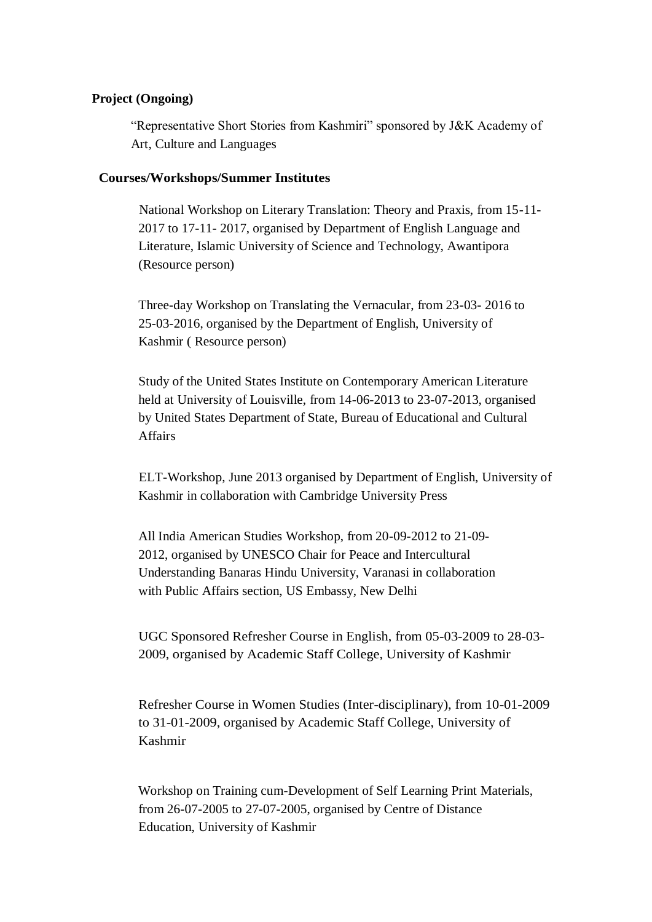### **Project (Ongoing)**

"Representative Short Stories from Kashmiri" sponsored by J&K Academy of Art, Culture and Languages

#### **Courses/Workshops/Summer Institutes**

National Workshop on Literary Translation: Theory and Praxis, from 15-11- 2017 to 17-11- 2017, organised by Department of English Language and Literature, Islamic University of Science and Technology, Awantipora (Resource person)

Three-day Workshop on Translating the Vernacular, from 23-03- 2016 to 25-03-2016, organised by the Department of English, University of Kashmir ( Resource person)

Study of the United States Institute on Contemporary American Literature held at University of Louisville, from 14-06-2013 to 23-07-2013, organised by United States Department of State, Bureau of Educational and Cultural Affairs

ELT-Workshop, June 2013 organised by Department of English, University of Kashmir in collaboration with Cambridge University Press

All India American Studies Workshop, from 20-09-2012 to 21-09- 2012, organised by UNESCO Chair for Peace and Intercultural Understanding Banaras Hindu University, Varanasi in collaboration with Public Affairs section, US Embassy, New Delhi

UGC Sponsored Refresher Course in English, from 05-03-2009 to 28-03- 2009, organised by Academic Staff College, University of Kashmir

Refresher Course in Women Studies (Inter-disciplinary), from 10-01-2009 to 31-01-2009, organised by Academic Staff College, University of Kashmir

Workshop on Training cum-Development of Self Learning Print Materials, from 26-07-2005 to 27-07-2005, organised by Centre of Distance Education, University of Kashmir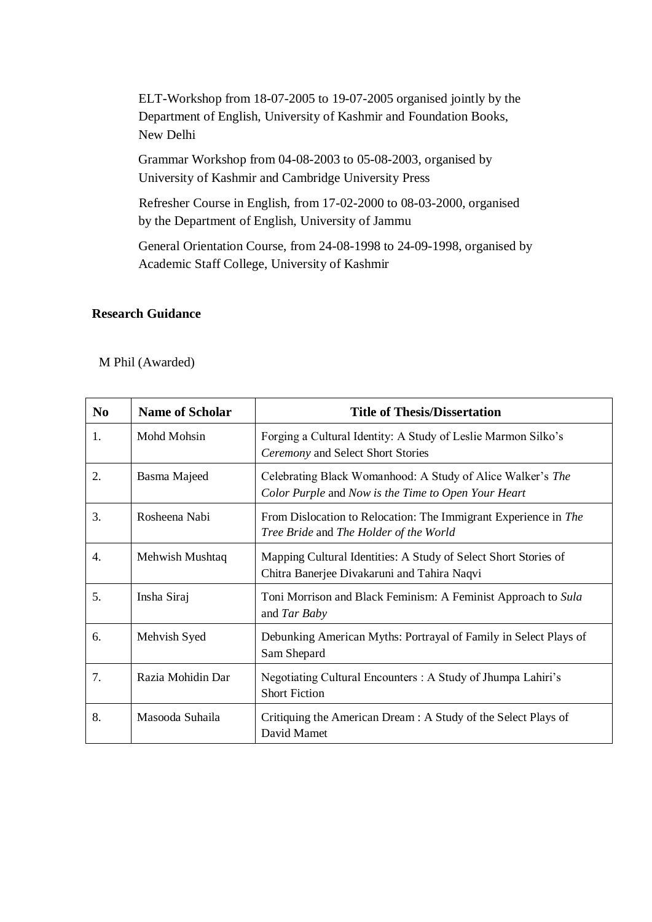ELT-Workshop from 18-07-2005 to 19-07-2005 organised jointly by the Department of English, University of Kashmir and Foundation Books, New Delhi

Grammar Workshop from 04-08-2003 to 05-08-2003, organised by University of Kashmir and Cambridge University Press

Refresher Course in English, from 17-02-2000 to 08-03-2000, organised by the Department of English, University of Jammu

General Orientation Course, from 24-08-1998 to 24-09-1998, organised by Academic Staff College, University of Kashmir

## **Research Guidance**

M Phil (Awarded)

| N <sub>0</sub> | <b>Name of Scholar</b> | <b>Title of Thesis/Dissertation</b>                                                                               |
|----------------|------------------------|-------------------------------------------------------------------------------------------------------------------|
| 1.             | Mohd Mohsin            | Forging a Cultural Identity: A Study of Leslie Marmon Silko's<br>Ceremony and Select Short Stories                |
| 2.             | Basma Majeed           | Celebrating Black Womanhood: A Study of Alice Walker's The<br>Color Purple and Now is the Time to Open Your Heart |
| 3.             | Rosheena Nabi          | From Dislocation to Relocation: The Immigrant Experience in The<br>Tree Bride and The Holder of the World         |
| 4.             | Mehwish Mushtaq        | Mapping Cultural Identities: A Study of Select Short Stories of<br>Chitra Banerjee Divakaruni and Tahira Naqvi    |
| 5.             | Insha Siraj            | Toni Morrison and Black Feminism: A Feminist Approach to Sula<br>and Tar Baby                                     |
| 6.             | Mehvish Syed           | Debunking American Myths: Portrayal of Family in Select Plays of<br>Sam Shepard                                   |
| 7.             | Razia Mohidin Dar      | Negotiating Cultural Encounters : A Study of Jhumpa Lahiri's<br><b>Short Fiction</b>                              |
| 8.             | Masooda Suhaila        | Critiquing the American Dream : A Study of the Select Plays of<br>David Mamet                                     |